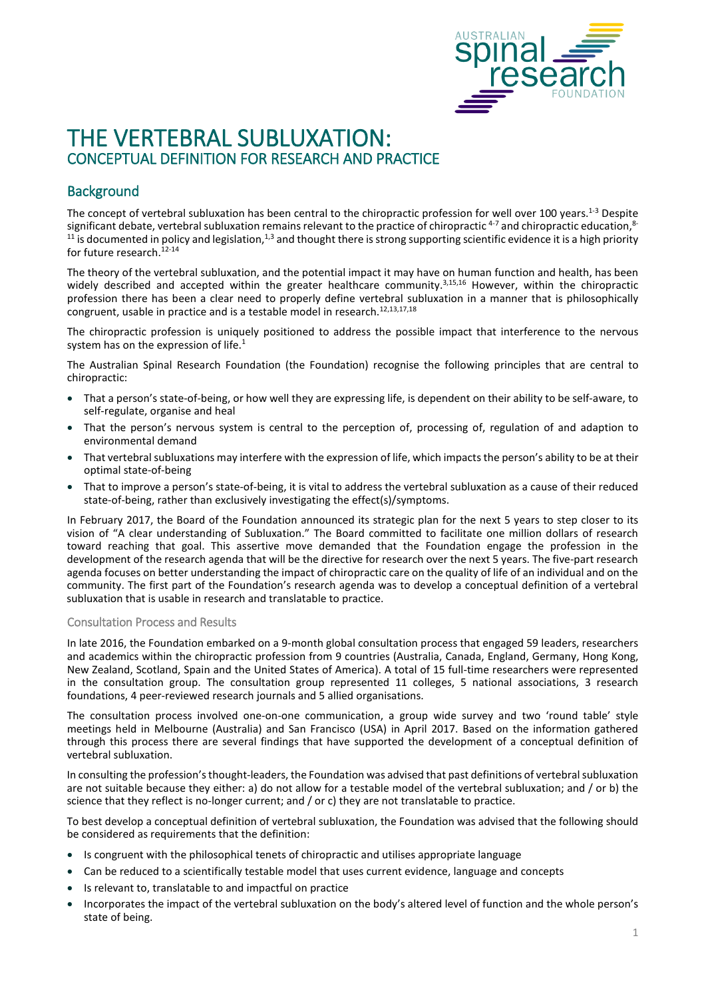

# THE VERTEBRAL SUBLUXATION: CONCEPTUAL DEFINITION FOR RESEARCH AND PRACTICE

### **Background**

The concept of vertebral subluxation has been central to the chiropractic profession for well over 100 years.<sup>1-3</sup> Despite significant debate, vertebral subluxation remains relevant to the practice of chiropractic <sup>4-7</sup> and chiropractic education,<sup>8-</sup>  $11$  is documented in policy and legislation,<sup>1,3</sup> and thought there is strong supporting scientific evidence it is a high priority for future research.<sup>12-14</sup>

The theory of the vertebral subluxation, and the potential impact it may have on human function and health, has been widely described and accepted within the greater healthcare community.<sup>3,15,16</sup> However, within the chiropractic profession there has been a clear need to properly define vertebral subluxation in a manner that is philosophically congruent, usable in practice and is a testable model in research.<sup>12,13,17,18</sup>

The chiropractic profession is uniquely positioned to address the possible impact that interference to the nervous system has on the expression of life. $1$ 

The Australian Spinal Research Foundation (the Foundation) recognise the following principles that are central to chiropractic:

- That a person's state-of-being, or how well they are expressing life, is dependent on their ability to be self-aware, to self-regulate, organise and heal
- That the person's nervous system is central to the perception of, processing of, regulation of and adaption to environmental demand
- That vertebral subluxations may interfere with the expression of life, which impacts the person's ability to be at their optimal state-of-being
- That to improve a person's state-of-being, it is vital to address the vertebral subluxation as a cause of their reduced state-of-being, rather than exclusively investigating the effect(s)/symptoms.

In February 2017, the Board of the Foundation announced its strategic plan for the next 5 years to step closer to its vision of "A clear understanding of Subluxation." The Board committed to facilitate one million dollars of research toward reaching that goal. This assertive move demanded that the Foundation engage the profession in the development of the research agenda that will be the directive for research over the next 5 years. The five-part research agenda focuses on better understanding the impact of chiropractic care on the quality of life of an individual and on the community. The first part of the Foundation's research agenda was to develop a conceptual definition of a vertebral subluxation that is usable in research and translatable to practice.

#### Consultation Process and Results

In late 2016, the Foundation embarked on a 9-month global consultation process that engaged 59 leaders, researchers and academics within the chiropractic profession from 9 countries (Australia, Canada, England, Germany, Hong Kong, New Zealand, Scotland, Spain and the United States of America). A total of 15 full-time researchers were represented in the consultation group. The consultation group represented 11 colleges, 5 national associations, 3 research foundations, 4 peer-reviewed research journals and 5 allied organisations.

The consultation process involved one-on-one communication, a group wide survey and two 'round table' style meetings held in Melbourne (Australia) and San Francisco (USA) in April 2017. Based on the information gathered through this process there are several findings that have supported the development of a conceptual definition of vertebral subluxation.

In consulting the profession's thought-leaders, the Foundation was advised that past definitions of vertebral subluxation are not suitable because they either: a) do not allow for a testable model of the vertebral subluxation; and / or b) the science that they reflect is no-longer current; and / or c) they are not translatable to practice.

To best develop a conceptual definition of vertebral subluxation, the Foundation was advised that the following should be considered as requirements that the definition:

- Is congruent with the philosophical tenets of chiropractic and utilises appropriate language
- Can be reduced to a scientifically testable model that uses current evidence, language and concepts
- Is relevant to, translatable to and impactful on practice
- Incorporates the impact of the vertebral subluxation on the body's altered level of function and the whole person's state of being.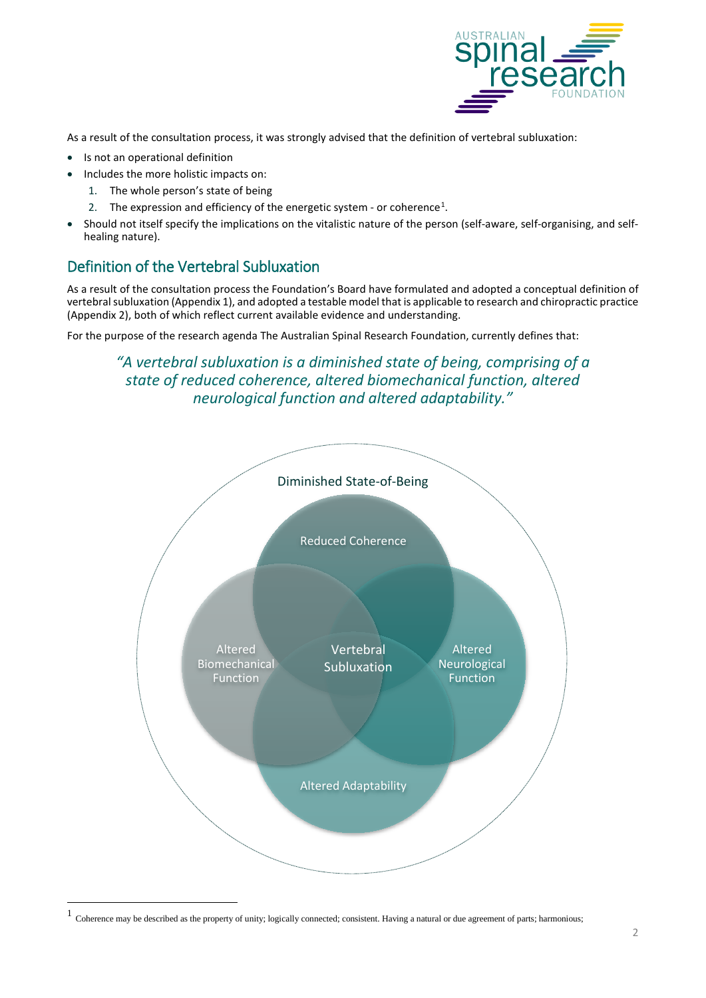

As a result of the consultation process, it was strongly advised that the definition of vertebral subluxation:

- Is not an operational definition
- Includes the more holistic impacts on:
	- 1. The whole person's state of being
	- 2. The expression and efficiency of the energetic system or coherence<sup>[1](#page-1-0)</sup>.
- Should not itself specify the implications on the vitalistic nature of the person (self-aware, self-organising, and selfhealing nature).

## Definition of the Vertebral Subluxation

As a result of the consultation process the Foundation's Board have formulated and adopted a conceptual definition of vertebral subluxation (Appendix 1), and adopted a testable model that is applicable to research and chiropractic practice (Appendix 2), both of which reflect current available evidence and understanding.

For the purpose of the research agenda The Australian Spinal Research Foundation, currently defines that:

*"A vertebral subluxation is a diminished state of being, comprising of a state of reduced coherence, altered biomechanical function, altered neurological function and altered adaptability."*



<span id="page-1-0"></span> <sup>1</sup> Coherence may be described as the property of unity; logically connected; consistent. Having <sup>a</sup> natural or due agreement of parts; harmonious;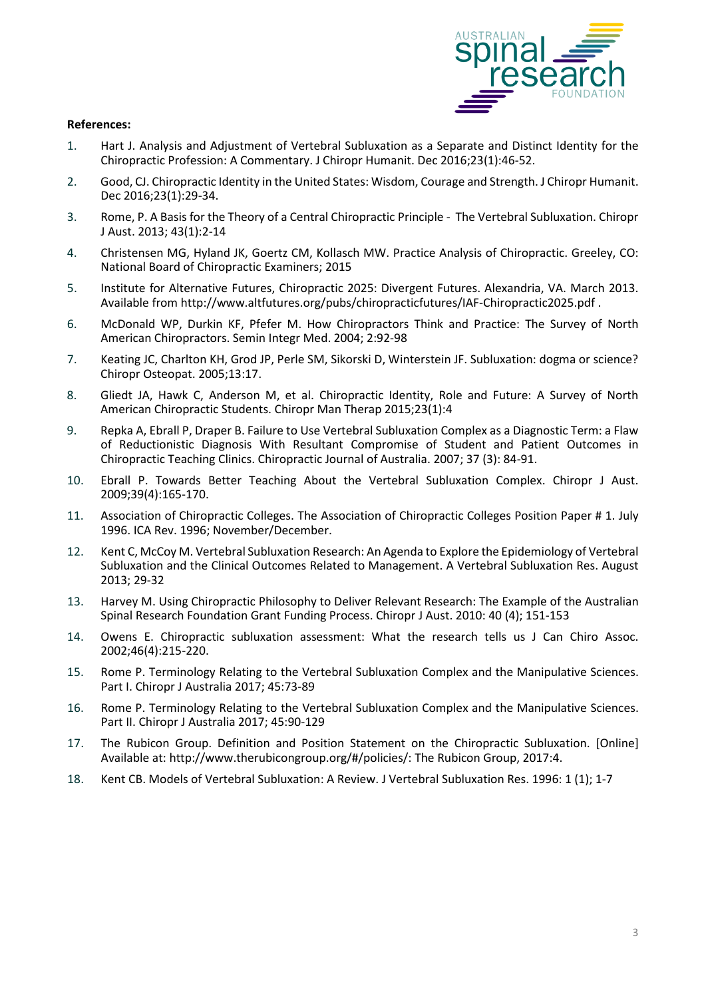

#### **References:**

- 1. Hart J. Analysis and Adjustment of Vertebral Subluxation as a Separate and Distinct Identity for the Chiropractic Profession: A Commentary. J Chiropr Humanit. Dec 2016;23(1):46-52.
- 2. Good, CJ. Chiropractic Identity in the United States: Wisdom, Courage and Strength. J Chiropr Humanit. Dec 2016;23(1):29-34.
- 3. Rome, P. A Basis for the Theory of a Central Chiropractic Principle The Vertebral Subluxation. Chiropr J Aust. 2013; 43(1):2-14
- 4. Christensen MG, Hyland JK, Goertz CM, Kollasch MW. Practice Analysis of Chiropractic. Greeley, CO: National Board of Chiropractic Examiners; 2015
- 5. Institute for Alternative Futures, Chiropractic 2025: Divergent Futures. Alexandria, VA. March 2013. Available from http://www.altfutures.org/pubs/chiropracticfutures/IAF-Chiropractic2025.pdf .
- 6. McDonald WP, Durkin KF, Pfefer M. How Chiropractors Think and Practice: The Survey of North American Chiropractors. Semin Integr Med. 2004; 2:92-98
- 7. Keating JC, Charlton KH, Grod JP, Perle SM, Sikorski D, Winterstein JF. Subluxation: dogma or science? Chiropr Osteopat. 2005;13:17.
- 8. Gliedt JA, Hawk C, Anderson M, et al. Chiropractic Identity, Role and Future: A Survey of North American Chiropractic Students. Chiropr Man Therap 2015;23(1):4
- 9. Repka A, Ebrall P, Draper B. Failure to Use Vertebral Subluxation Complex as a Diagnostic Term: a Flaw of Reductionistic Diagnosis With Resultant Compromise of Student and Patient Outcomes in Chiropractic Teaching Clinics. Chiropractic Journal of Australia. 2007; 37 (3): 84-91.
- 10. Ebrall P. Towards Better Teaching About the Vertebral Subluxation Complex. Chiropr J Aust. 2009;39(4):165-170.
- 11. Association of Chiropractic Colleges. The Association of Chiropractic Colleges Position Paper # 1. July 1996. ICA Rev. 1996; November/December.
- 12. Kent C, McCoy M. Vertebral Subluxation Research: An Agenda to Explore the Epidemiology of Vertebral Subluxation and the Clinical Outcomes Related to Management. A Vertebral Subluxation Res. August 2013; 29-32
- 13. Harvey M. Using Chiropractic Philosophy to Deliver Relevant Research: The Example of the Australian Spinal Research Foundation Grant Funding Process. Chiropr J Aust. 2010: 40 (4); 151-153
- 14. Owens E. Chiropractic subluxation assessment: What the research tells us J Can Chiro Assoc. 2002;46(4):215-220.
- 15. Rome P. Terminology Relating to the Vertebral Subluxation Complex and the Manipulative Sciences. Part I. Chiropr J Australia 2017; 45:73-89
- 16. Rome P. Terminology Relating to the Vertebral Subluxation Complex and the Manipulative Sciences. Part II. Chiropr J Australia 2017; 45:90-129
- 17. The Rubicon Group. Definition and Position Statement on the Chiropractic Subluxation. [Online] Available at: <http://www.therubicongroup.org/#/policies/:> The Rubicon Group, 2017:4.
- 18. Kent CB. Models of Vertebral Subluxation: A Review. J Vertebral Subluxation Res. 1996: 1 (1); 1-7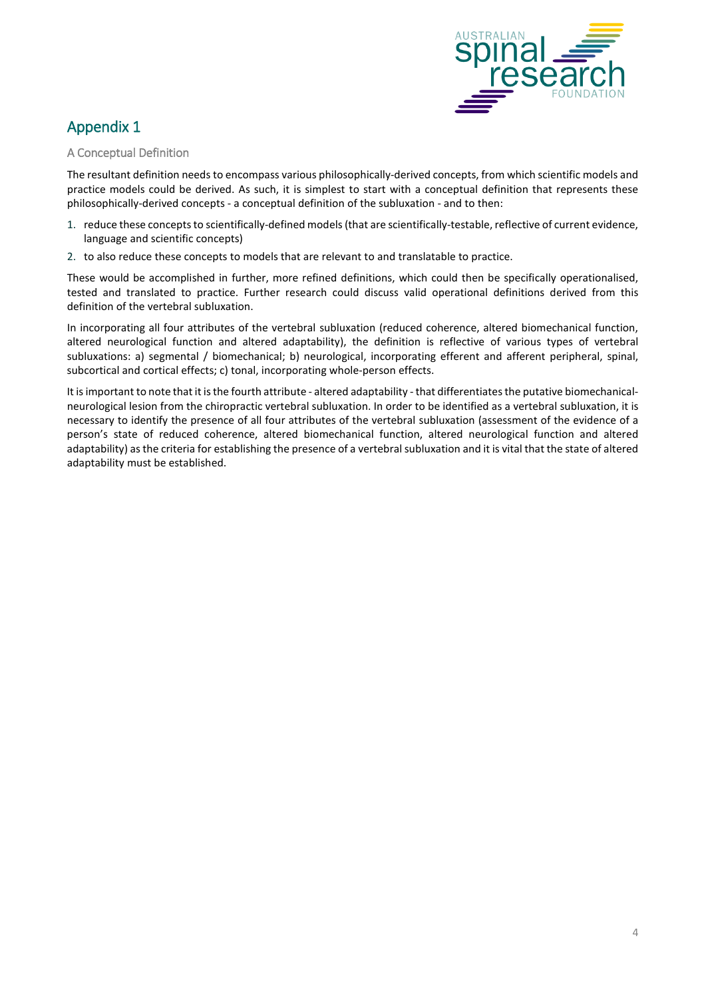

# Appendix 1

#### A Conceptual Definition

The resultant definition needs to encompass various philosophically-derived concepts, from which scientific models and practice models could be derived. As such, it is simplest to start with a conceptual definition that represents these philosophically-derived concepts - a conceptual definition of the subluxation - and to then:

- 1. reduce these conceptsto scientifically-defined models(that are scientifically-testable, reflective of current evidence, language and scientific concepts)
- 2. to also reduce these concepts to models that are relevant to and translatable to practice.

These would be accomplished in further, more refined definitions, which could then be specifically operationalised, tested and translated to practice. Further research could discuss valid operational definitions derived from this definition of the vertebral subluxation.

In incorporating all four attributes of the vertebral subluxation (reduced coherence, altered biomechanical function, altered neurological function and altered adaptability), the definition is reflective of various types of vertebral subluxations: a) segmental / biomechanical; b) neurological, incorporating efferent and afferent peripheral, spinal, subcortical and cortical effects; c) tonal, incorporating whole-person effects.

It is important to note that it is the fourth attribute - altered adaptability - that differentiates the putative biomechanicalneurological lesion from the chiropractic vertebral subluxation. In order to be identified as a vertebral subluxation, it is necessary to identify the presence of all four attributes of the vertebral subluxation (assessment of the evidence of a person's state of reduced coherence, altered biomechanical function, altered neurological function and altered adaptability) asthe criteria for establishing the presence of a vertebralsubluxation and it is vital that the state of altered adaptability must be established.